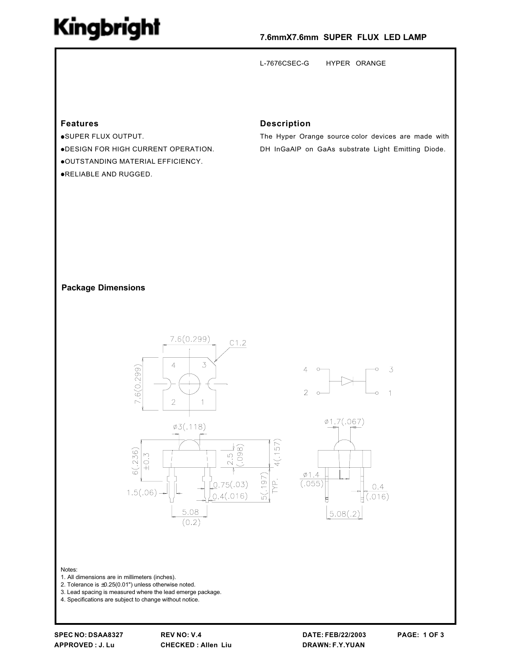## Kingbright

#### 7.6mmX7.6mm SUPER FLUX LED LAMP

L-7676CSEC-G HYPER ORANGE

#### **Features**

·SUPER FLUX OUTPUT. . DESIGN FOR HIGH CURRENT OPERATION. .OUTSTANDING MATERIAL EFFICIENCY. .RELIABLE AND RUGGED.

#### **Description**

The Hyper Orange source color devices are made with DH InGaAIP on GaAs substrate Light Emitting Diode.

#### **Package Dimensions**



5.08

 $(0.2)$ 

 $\frac{2.5}{1098}$ 

 $0.75(.03)$ 

 $0.4(.016)$ 





Notes:

- 1. All dimensions are in millimeters (inches).
- 2. Tolerance is  $\pm 0.25(0.01")$  unless otherwise noted.
- 3. Lead spacing is measured where the lead emerge package.
- 4. Specifications are subject to change without notice.

 $6(.236)$  $\sim$  $\frac{1}{2}$ 

 $1.5(.06)$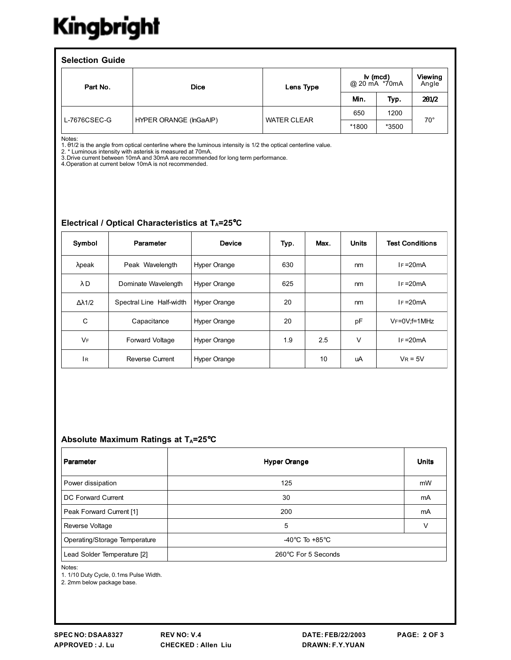# Kingbright

| <b>Selection Guide</b> |                        |                    |                                                |       |                  |  |  |  |  |
|------------------------|------------------------|--------------------|------------------------------------------------|-------|------------------|--|--|--|--|
| Part No.               | <b>Dice</b>            | Lens Type          | $\mathsf{I} \mathsf{v}$ (mcd)<br>@ 20 mA *70mA |       | Viewing<br>Angle |  |  |  |  |
|                        |                        |                    | Min.                                           | Typ.  | 201/2            |  |  |  |  |
| L-7676CSEC-G           | HYPER ORANGE (InGaAIP) | <b>WATER CLEAR</b> | 650                                            | 1200  | $70^{\circ}$     |  |  |  |  |
|                        |                        |                    | *1800                                          | *3500 |                  |  |  |  |  |

Notes:

1.01/2 is the angle from optical centerline where the luminous intensity is 1/2 the optical centerline value.<br>2. \* Luminous intensity with asterisk is measured at 70mA.

3. Drive current between 10mA and 30mA are recommended for long term performance.

4. Operation at current below 10mA is not recommended.

### Electrical / Optical Characteristics at TA=25°C

| Symbol               | Parameter                | <b>Device</b>       | Typ. | Max. | <b>Units</b> | <b>Test Conditions</b> |
|----------------------|--------------------------|---------------------|------|------|--------------|------------------------|
| $λ$ peak             | Peak Wavelength          | <b>Hyper Orange</b> | 630  |      | nm           | $IF = 20mA$            |
| λD                   | Dominate Wavelength      | <b>Hyper Orange</b> | 625  |      | nm           | $IF = 20mA$            |
| $\Delta \lambda$ 1/2 | Spectral Line Half-width | <b>Hyper Orange</b> | 20   |      | nm           | $IF = 20mA$            |
| C                    | Capacitance              | <b>Hyper Orange</b> | 20   |      | pF           | VF=0V;f=1MHz           |
| <b>V<sub>F</sub></b> | <b>Forward Voltage</b>   | <b>Hyper Orange</b> | 1.9  | 2.5  | $\vee$       | $IF = 20mA$            |
| IR.                  | <b>Reverse Current</b>   | <b>Hyper Orange</b> |      | 10   | uA           | $V_R = 5V$             |

### Absolute Maximum Ratings at TA=25°C

| Parameter                     | <b>Hyper Orange</b>                                  | <b>Units</b> |
|-------------------------------|------------------------------------------------------|--------------|
| Power dissipation             | 125                                                  | mW           |
| DC Forward Current            | 30                                                   | mA           |
| Peak Forward Current [1]      | 200                                                  | mA           |
| Reverse Voltage               | 5                                                    | $\vee$       |
| Operating/Storage Temperature | -40 $\mathrm{^{\circ}C}$ To +85 $\mathrm{^{\circ}C}$ |              |
| Lead Solder Temperature [2]   | 260°C For 5 Seconds                                  |              |

Notes:

1. 1/10 Duty Cycle, 0.1ms Pulse Width.

2. 2mm below package base.